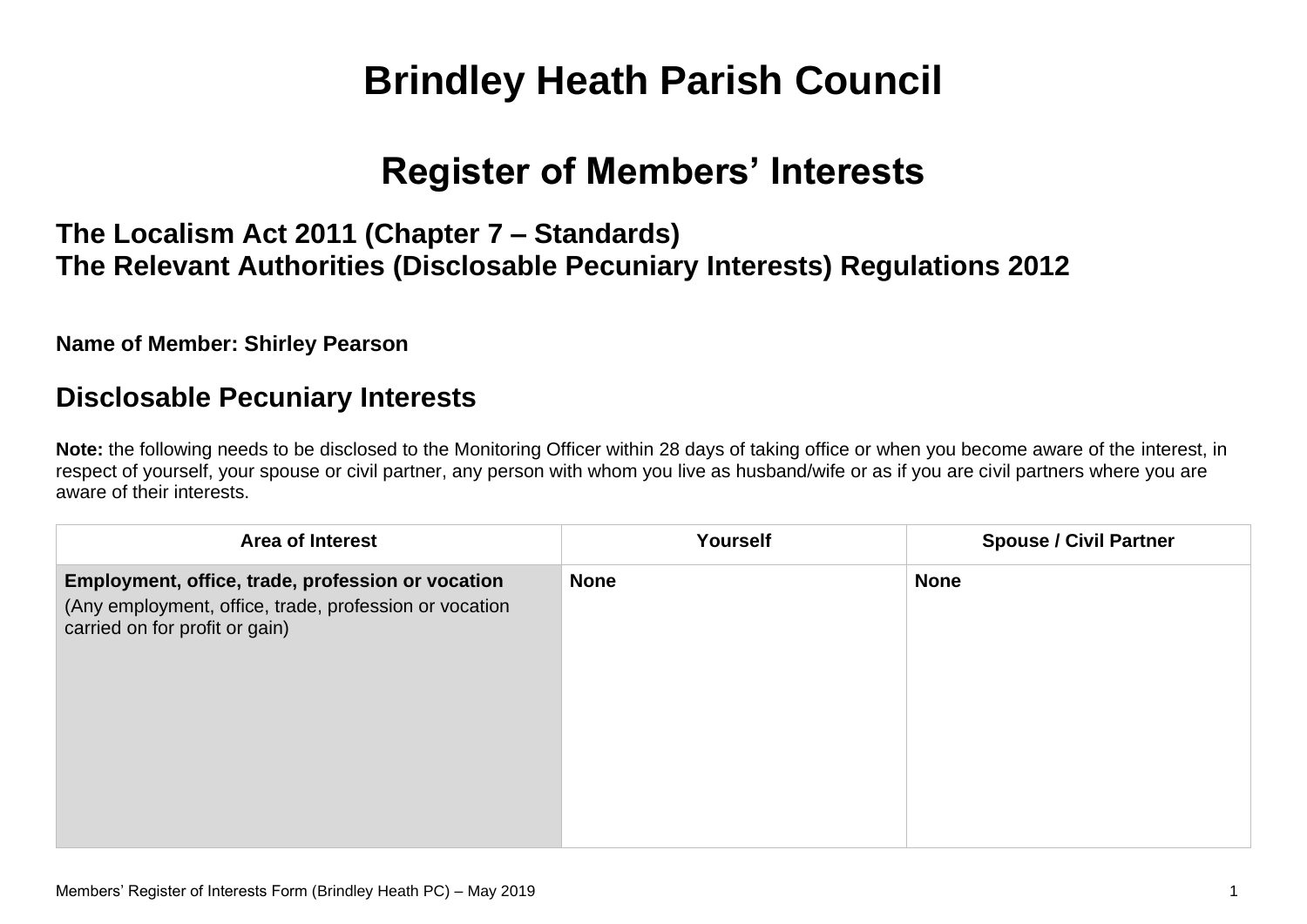# **Brindley Heath Parish Council**

# **Register of Members' Interests**

# **The Localism Act 2011 (Chapter 7 – Standards) The Relevant Authorities (Disclosable Pecuniary Interests) Regulations 2012**

**Name of Member: Shirley Pearson**

#### **Disclosable Pecuniary Interests**

**Note:** the following needs to be disclosed to the Monitoring Officer within 28 days of taking office or when you become aware of the interest, in respect of yourself, your spouse or civil partner, any person with whom you live as husband/wife or as if you are civil partners where you are aware of their interests.

| <b>Area of Interest</b>                                                                                                                       | Yourself    | <b>Spouse / Civil Partner</b> |
|-----------------------------------------------------------------------------------------------------------------------------------------------|-------------|-------------------------------|
| Employment, office, trade, profession or vocation<br>(Any employment, office, trade, profession or vocation<br>carried on for profit or gain) | <b>None</b> | <b>None</b>                   |
|                                                                                                                                               |             |                               |
|                                                                                                                                               |             |                               |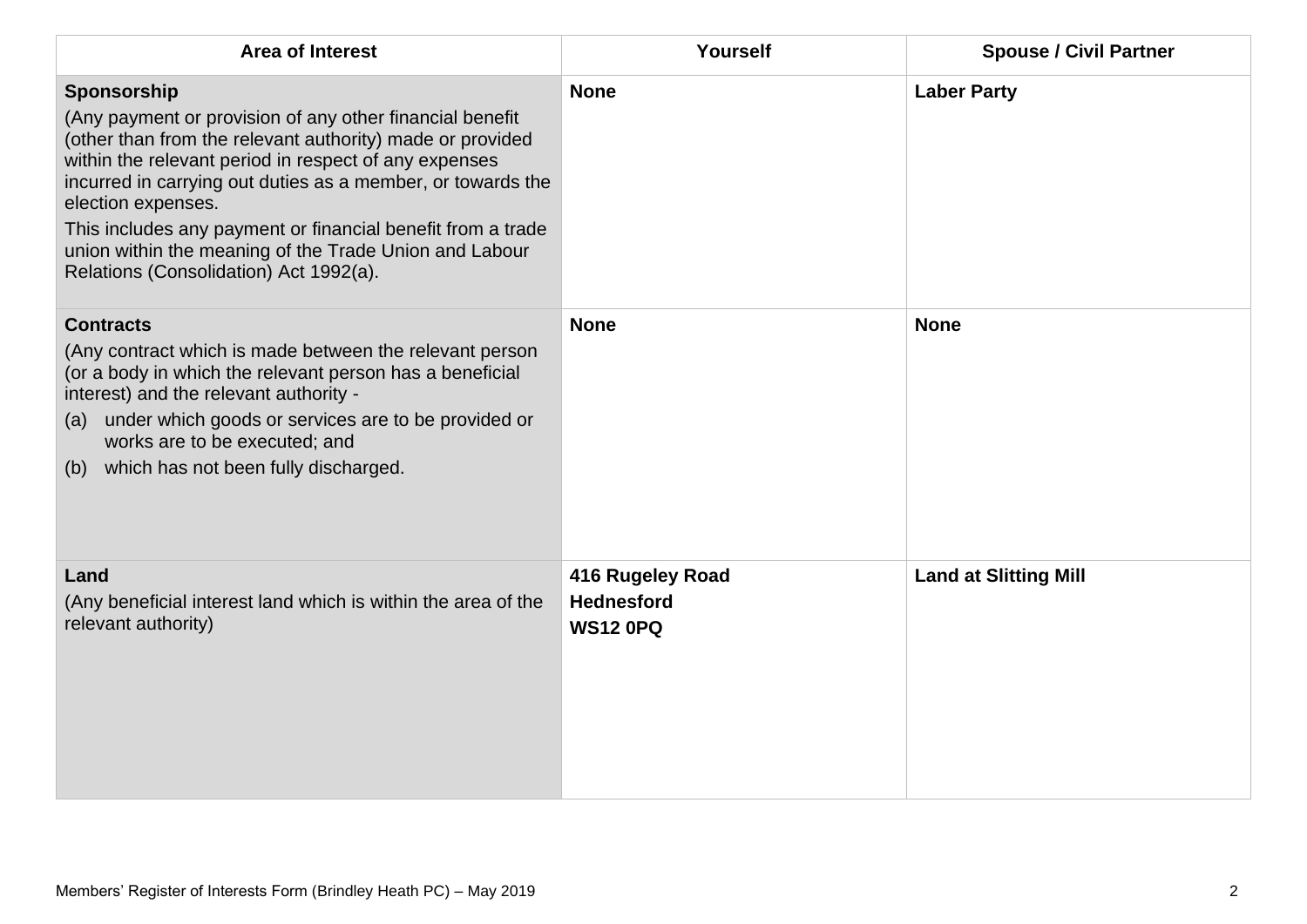| <b>Area of Interest</b>                                                                                                                                                                                                                                                                                                                                                                                                                               | Yourself                                                 | <b>Spouse / Civil Partner</b> |
|-------------------------------------------------------------------------------------------------------------------------------------------------------------------------------------------------------------------------------------------------------------------------------------------------------------------------------------------------------------------------------------------------------------------------------------------------------|----------------------------------------------------------|-------------------------------|
| Sponsorship<br>(Any payment or provision of any other financial benefit<br>(other than from the relevant authority) made or provided<br>within the relevant period in respect of any expenses<br>incurred in carrying out duties as a member, or towards the<br>election expenses.<br>This includes any payment or financial benefit from a trade<br>union within the meaning of the Trade Union and Labour<br>Relations (Consolidation) Act 1992(a). | <b>None</b>                                              | <b>Laber Party</b>            |
| <b>Contracts</b><br>(Any contract which is made between the relevant person<br>(or a body in which the relevant person has a beneficial<br>interest) and the relevant authority -<br>under which goods or services are to be provided or<br>(a)<br>works are to be executed; and<br>(b) which has not been fully discharged.                                                                                                                          | <b>None</b>                                              | <b>None</b>                   |
| Land<br>(Any beneficial interest land which is within the area of the<br>relevant authority)                                                                                                                                                                                                                                                                                                                                                          | 416 Rugeley Road<br><b>Hednesford</b><br><b>WS12 0PQ</b> | <b>Land at Slitting Mill</b>  |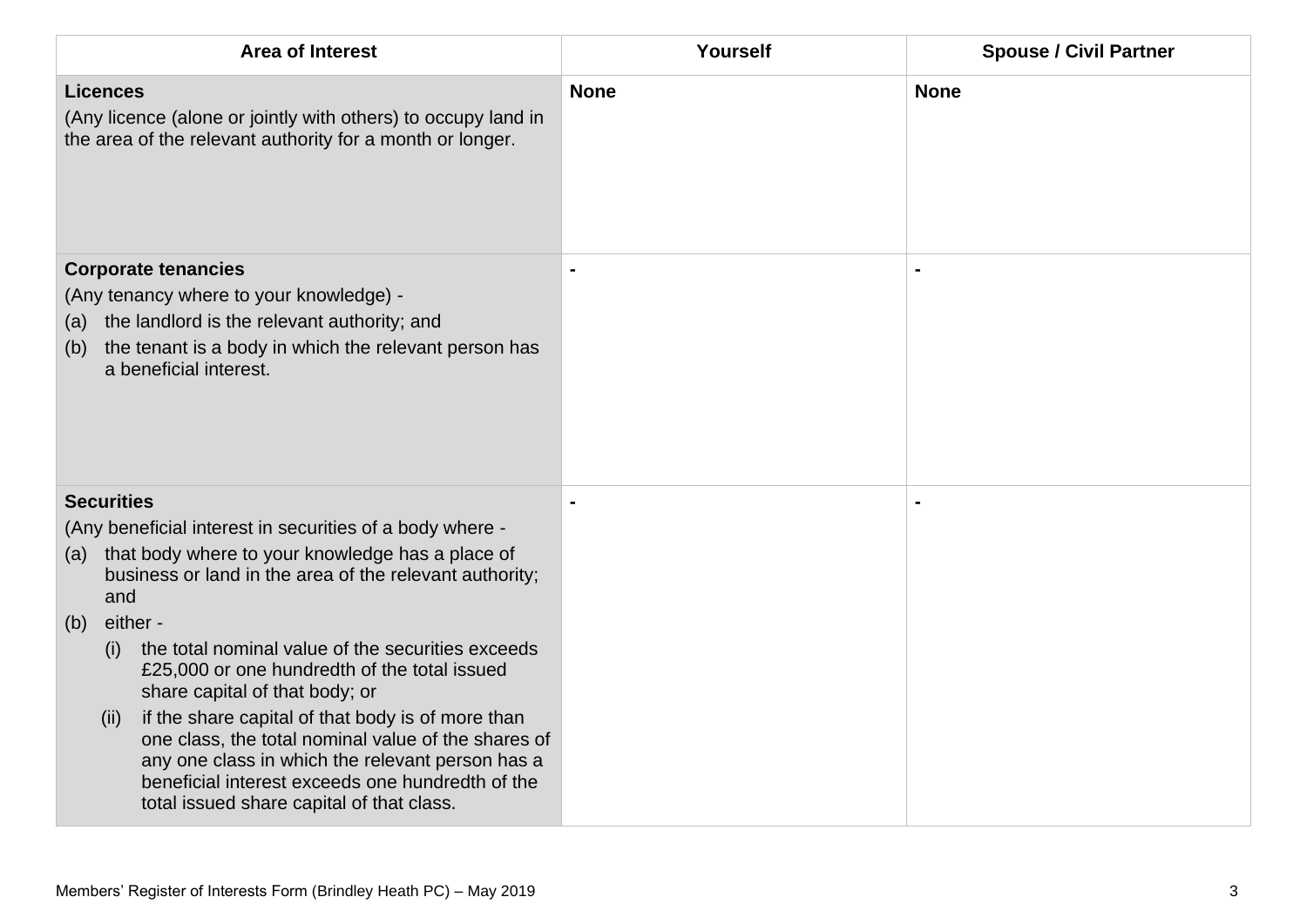| <b>Area of Interest</b>                                                                                                                                                                                                                                                                                                                                                                                                                | Yourself       | <b>Spouse / Civil Partner</b> |
|----------------------------------------------------------------------------------------------------------------------------------------------------------------------------------------------------------------------------------------------------------------------------------------------------------------------------------------------------------------------------------------------------------------------------------------|----------------|-------------------------------|
| <b>Licences</b><br>(Any licence (alone or jointly with others) to occupy land in<br>the area of the relevant authority for a month or longer.                                                                                                                                                                                                                                                                                          | <b>None</b>    | <b>None</b>                   |
| <b>Corporate tenancies</b><br>(Any tenancy where to your knowledge) -<br>the landlord is the relevant authority; and<br>(a)<br>the tenant is a body in which the relevant person has<br>(b)<br>a beneficial interest.                                                                                                                                                                                                                  | $\blacksquare$ |                               |
| <b>Securities</b><br>(Any beneficial interest in securities of a body where -<br>that body where to your knowledge has a place of<br>(a)<br>business or land in the area of the relevant authority;<br>and                                                                                                                                                                                                                             |                |                               |
| either -<br>(b)<br>the total nominal value of the securities exceeds<br>(i)<br>£25,000 or one hundredth of the total issued<br>share capital of that body; or<br>if the share capital of that body is of more than<br>(ii)<br>one class, the total nominal value of the shares of<br>any one class in which the relevant person has a<br>beneficial interest exceeds one hundredth of the<br>total issued share capital of that class. |                |                               |